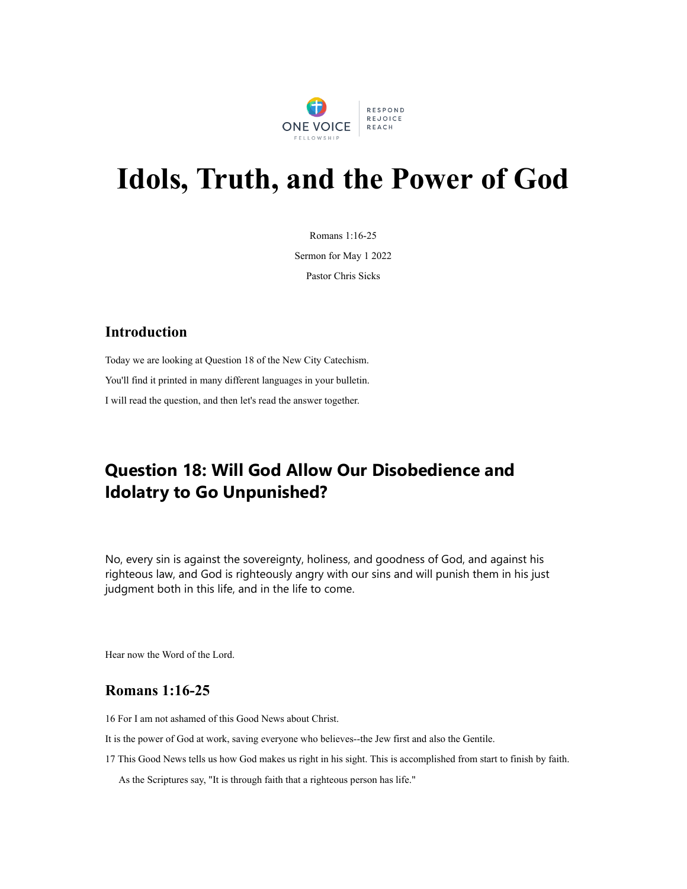

# **Idols, Truth, and the Power of God**

Romans 1:16-25

Sermon for May 1 2022

Pastor Chris Sicks

### **Introduction**

Today we are looking at Question 18 of the New City Catechism. You'll find it printed in many different languages in your bulletin. I will read the question, and then let's read the answer together.

## **Question 18: Will God Allow Our Disobedience and Idolatry to Go Unpunished?**

No, every sin is against the sovereignty, holiness, and goodness of God, and against his righteous law, and God is righteously angry with our sins and will punish them in his just judgment both in this life, and in the life to come.

Hear now the Word of the Lord.

#### **Romans 1:16-25**

16 For I am not ashamed of this Good News about Christ.

It is the power of God at work, saving everyone who believes--the Jew first and also the Gentile.

17 This Good News tells us how God makes us right in his sight. This is accomplished from start to finish by faith.

As the Scriptures say, "It is through faith that a righteous person has life."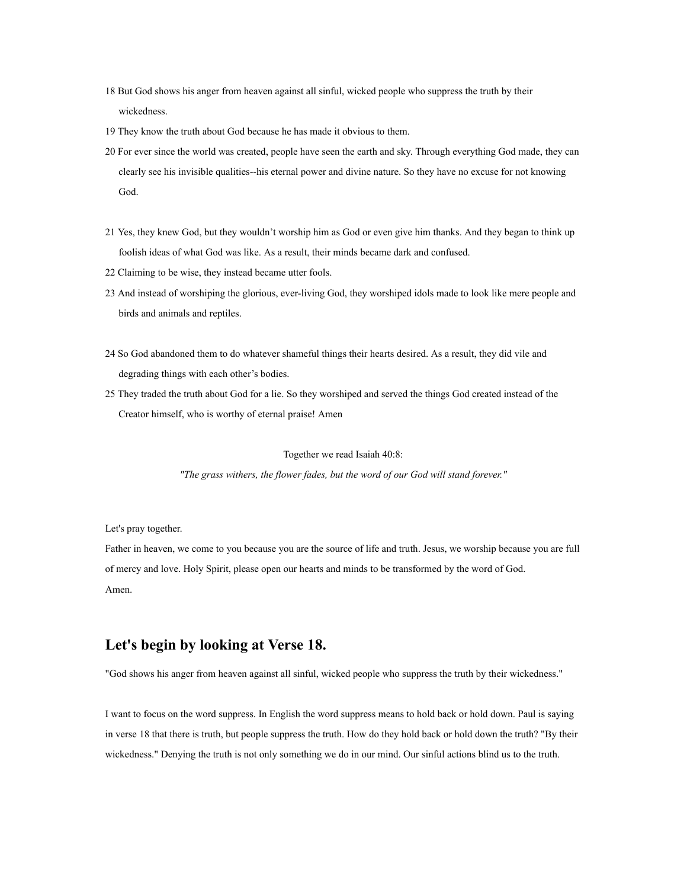- 18 But God shows his anger from heaven against all sinful, wicked people who suppress the truth by their wickedness.
- 19 They know the truth about God because he has made it obvious to them.
- 20 For ever since the world was created, people have seen the earth and sky. Through everything God made, they can clearly see his invisible qualities--his eternal power and divine nature. So they have no excuse for not knowing God.
- 21 Yes, they knew God, but they wouldn't worship him as God or even give him thanks. And they began to think up foolish ideas of what God was like. As a result, their minds became dark and confused.
- 22 Claiming to be wise, they instead became utter fools.
- 23 And instead of worshiping the glorious, ever-living God, they worshiped idols made to look like mere people and birds and animals and reptiles.
- 24 So God abandoned them to do whatever shameful things their hearts desired. As a result, they did vile and degrading things with each other's bodies.
- 25 They traded the truth about God for a lie. So they worshiped and served the things God created instead of the Creator himself, who is worthy of eternal praise! Amen

Together we read Isaiah 40:8:

*"The grass withers, the flower fades, but the word of our God will stand forever."*

Let's pray together.

Father in heaven, we come to you because you are the source of life and truth. Jesus, we worship because you are full of mercy and love. Holy Spirit, please open our hearts and minds to be transformed by the word of God. Amen.

#### **Let's begin by looking at Verse 18.**

"God shows his anger from heaven against all sinful, wicked people who suppress the truth by their wickedness."

I want to focus on the word suppress. In English the word suppress means to hold back or hold down. Paul is saying in verse 18 that there is truth, but people suppress the truth. How do they hold back or hold down the truth? "By their wickedness." Denying the truth is not only something we do in our mind. Our sinful actions blind us to the truth.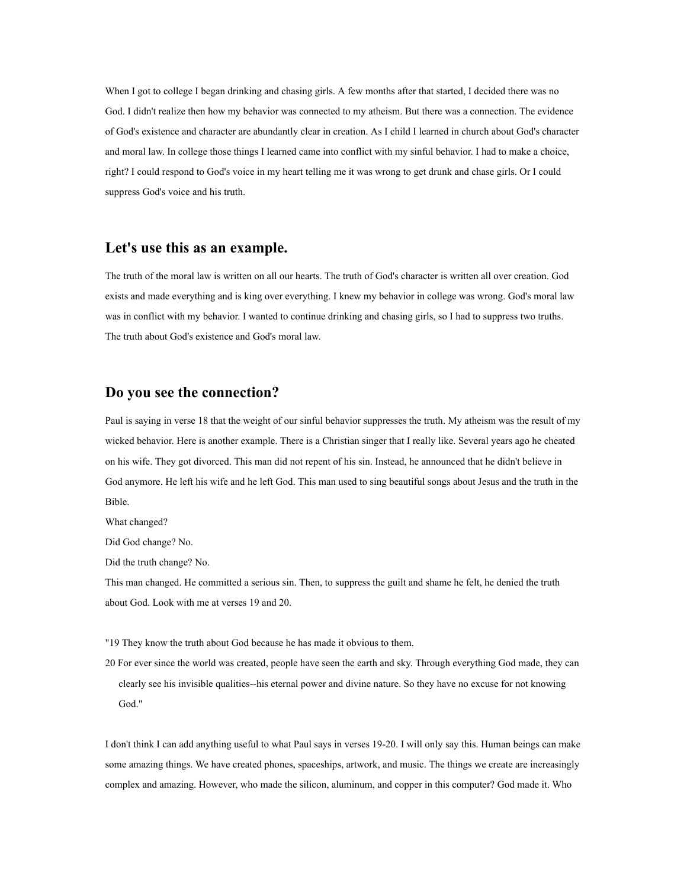When I got to college I began drinking and chasing girls. A few months after that started, I decided there was no God. I didn't realize then how my behavior was connected to my atheism. But there was a connection. The evidence of God's existence and character are abundantly clear in creation. As I child I learned in church about God's character and moral law. In college those things I learned came into conflict with my sinful behavior. I had to make a choice, right? I could respond to God's voice in my heart telling me it was wrong to get drunk and chase girls. Or I could suppress God's voice and his truth.

#### **Let's use this as an example.**

The truth of the moral law is written on all our hearts. The truth of God's character is written all over creation. God exists and made everything and is king over everything. I knew my behavior in college was wrong. God's moral law was in conflict with my behavior. I wanted to continue drinking and chasing girls, so I had to suppress two truths. The truth about God's existence and God's moral law.

#### **Do you see the connection?**

Paul is saying in verse 18 that the weight of our sinful behavior suppresses the truth. My atheism was the result of my wicked behavior. Here is another example. There is a Christian singer that I really like. Several years ago he cheated on his wife. They got divorced. This man did not repent of his sin. Instead, he announced that he didn't believe in God anymore. He left his wife and he left God. This man used to sing beautiful songs about Jesus and the truth in the Bible.

What changed?

Did God change? No.

Did the truth change? No.

This man changed. He committed a serious sin. Then, to suppress the guilt and shame he felt, he denied the truth about God. Look with me at verses 19 and 20.

"19 They know the truth about God because he has made it obvious to them.

20 For ever since the world was created, people have seen the earth and sky. Through everything God made, they can clearly see his invisible qualities--his eternal power and divine nature. So they have no excuse for not knowing God."

I don't think I can add anything useful to what Paul says in verses 19-20. I will only say this. Human beings can make some amazing things. We have created phones, spaceships, artwork, and music. The things we create are increasingly complex and amazing. However, who made the silicon, aluminum, and copper in this computer? God made it. Who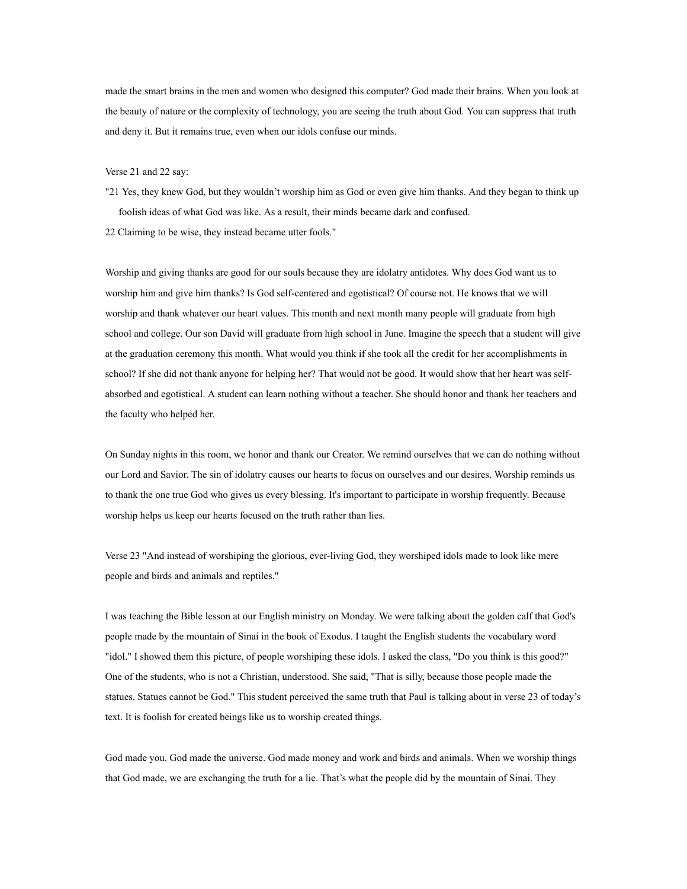made the smart brains in the men and women who designed this computer? God made their brains. When you look at the beauty of nature or the complexity of technology, you are seeing the truth about God. You can suppress that truth and deny it. But it remains true, even when our idols confuse our minds.

#### Verse 21 and 22 say:

- "21 Yes, they knew God, but they wouldn't worship him as God or even give him thanks. And they began to think up foolish ideas of what God was like. As a result, their minds became dark and confused.
- 22 Claiming to be wise, they instead became utter fools."

Worship and giving thanks are good for our souls because they are idolatry antidotes. Why does God want us to worship him and give him thanks? Is God self-centered and egotistical? Of course not. He knows that we will worship and thank whatever our heart values. This month and next month many people will graduate from high school and college. Our son David will graduate from high school in June. Imagine the speech that a student will give at the graduation ceremony this month. What would you think if she took all the credit for her accomplishments in school? If she did not thank anyone for helping her? That would not be good. It would show that her heart was selfabsorbed and egotistical. A student can learn nothing without a teacher. She should honor and thank her teachers and the faculty who helped her.

On Sunday nights in this room, we honor and thank our Creator. We remind ourselves that we can do nothing without our Lord and Savior. The sin of idolatry causes our hearts to focus on ourselves and our desires. Worship reminds us to thank the one true God who gives us every blessing. It's important to participate in worship frequently. Because worship helps us keep our hearts focused on the truth rather than lies.

Verse 23 "And instead of worshiping the glorious, ever-living God, they worshiped idols made to look like mere people and birds and animals and reptiles."

I was teaching the Bible lesson at our English ministry on Monday. We were talking about the golden calf that God's people made by the mountain of Sinai in the book of Exodus. I taught the English students the vocabulary word "idol." I showed them this picture, of people worshiping these idols. I asked the class, "Do you think is this good?" One of the students, who is not a Christian, understood. She said, "That is silly, because those people made the statues. Statues cannot be God." This student perceived the same truth that Paul is talking about in verse 23 of today's text. It is foolish for created beings like us to worship created things.

God made you. God made the universe. God made money and work and birds and animals. When we worship things that God made, we are exchanging the truth for a lie. That's what the people did by the mountain of Sinai. They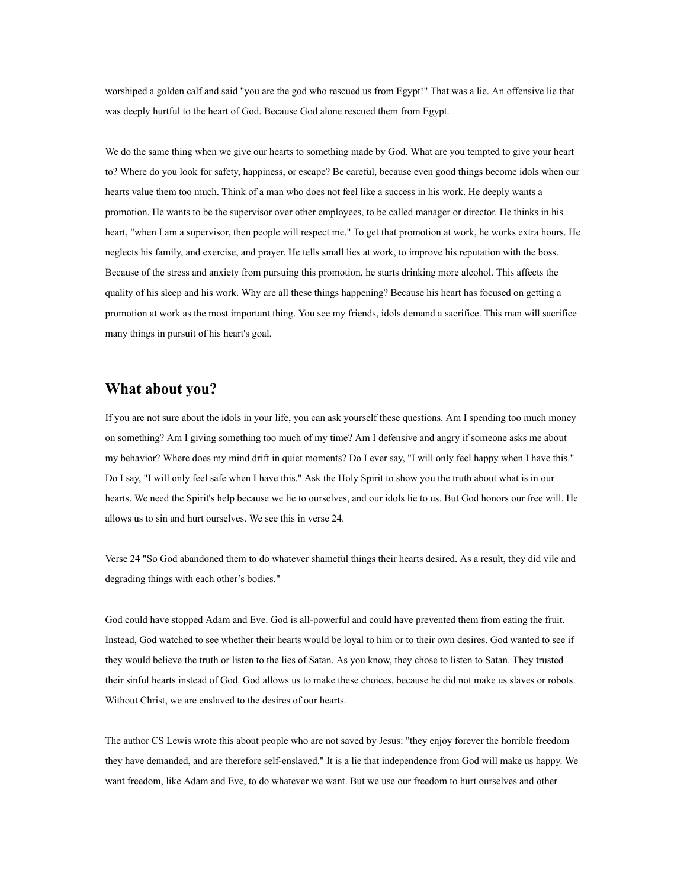worshiped a golden calf and said "you are the god who rescued us from Egypt!" That was a lie. An offensive lie that was deeply hurtful to the heart of God. Because God alone rescued them from Egypt.

We do the same thing when we give our hearts to something made by God. What are you tempted to give your heart to? Where do you look for safety, happiness, or escape? Be careful, because even good things become idols when our hearts value them too much. Think of a man who does not feel like a success in his work. He deeply wants a promotion. He wants to be the supervisor over other employees, to be called manager or director. He thinks in his heart, "when I am a supervisor, then people will respect me." To get that promotion at work, he works extra hours. He neglects his family, and exercise, and prayer. He tells small lies at work, to improve his reputation with the boss. Because of the stress and anxiety from pursuing this promotion, he starts drinking more alcohol. This affects the quality of his sleep and his work. Why are all these things happening? Because his heart has focused on getting a promotion at work as the most important thing. You see my friends, idols demand a sacrifice. This man will sacrifice many things in pursuit of his heart's goal.

#### **What about you?**

If you are not sure about the idols in your life, you can ask yourself these questions. Am I spending too much money on something? Am I giving something too much of my time? Am I defensive and angry if someone asks me about my behavior? Where does my mind drift in quiet moments? Do I ever say, "I will only feel happy when I have this." Do I say, "I will only feel safe when I have this." Ask the Holy Spirit to show you the truth about what is in our hearts. We need the Spirit's help because we lie to ourselves, and our idols lie to us. But God honors our free will. He allows us to sin and hurt ourselves. We see this in verse 24.

Verse 24 "So God abandoned them to do whatever shameful things their hearts desired. As a result, they did vile and degrading things with each other's bodies."

God could have stopped Adam and Eve. God is all-powerful and could have prevented them from eating the fruit. Instead, God watched to see whether their hearts would be loyal to him or to their own desires. God wanted to see if they would believe the truth or listen to the lies of Satan. As you know, they chose to listen to Satan. They trusted their sinful hearts instead of God. God allows us to make these choices, because he did not make us slaves or robots. Without Christ, we are enslaved to the desires of our hearts.

The author CS Lewis wrote this about people who are not saved by Jesus: "they enjoy forever the horrible freedom they have demanded, and are therefore self-enslaved." It is a lie that independence from God will make us happy. We want freedom, like Adam and Eve, to do whatever we want. But we use our freedom to hurt ourselves and other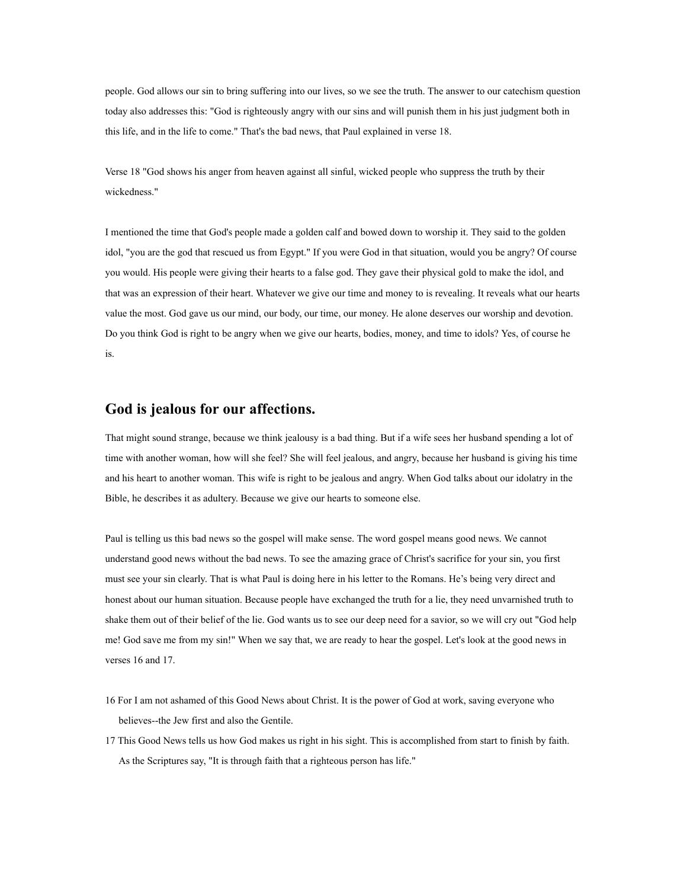people. God allows our sin to bring suffering into our lives, so we see the truth. The answer to our catechism question today also addresses this: "God is righteously angry with our sins and will punish them in his just judgment both in this life, and in the life to come." That's the bad news, that Paul explained in verse 18.

Verse 18 "God shows his anger from heaven against all sinful, wicked people who suppress the truth by their wickedness."

I mentioned the time that God's people made a golden calf and bowed down to worship it. They said to the golden idol, "you are the god that rescued us from Egypt." If you were God in that situation, would you be angry? Of course you would. His people were giving their hearts to a false god. They gave their physical gold to make the idol, and that was an expression of their heart. Whatever we give our time and money to is revealing. It reveals what our hearts value the most. God gave us our mind, our body, our time, our money. He alone deserves our worship and devotion. Do you think God is right to be angry when we give our hearts, bodies, money, and time to idols? Yes, of course he is.

#### **God is jealous for our affections.**

That might sound strange, because we think jealousy is a bad thing. But if a wife sees her husband spending a lot of time with another woman, how will she feel? She will feel jealous, and angry, because her husband is giving his time and his heart to another woman. This wife is right to be jealous and angry. When God talks about our idolatry in the Bible, he describes it as adultery. Because we give our hearts to someone else.

Paul is telling us this bad news so the gospel will make sense. The word gospel means good news. We cannot understand good news without the bad news. To see the amazing grace of Christ's sacrifice for your sin, you first must see your sin clearly. That is what Paul is doing here in his letter to the Romans. He's being very direct and honest about our human situation. Because people have exchanged the truth for a lie, they need unvarnished truth to shake them out of their belief of the lie. God wants us to see our deep need for a savior, so we will cry out "God help me! God save me from my sin!" When we say that, we are ready to hear the gospel. Let's look at the good news in verses 16 and 17.

- 16 For I am not ashamed of this Good News about Christ. It is the power of God at work, saving everyone who believes--the Jew first and also the Gentile.
- 17 This Good News tells us how God makes us right in his sight. This is accomplished from start to finish by faith. As the Scriptures say, "It is through faith that a righteous person has life."